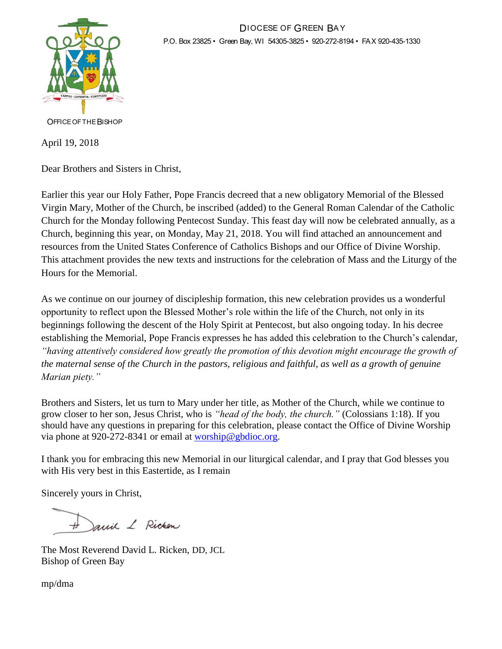

OFFICE OF THE BISHOP

April 19, 2018

Dear Brothers and Sisters in Christ,

Earlier this year our Holy Father, Pope Francis decreed that a new obligatory Memorial of the Blessed Virgin Mary, Mother of the Church, be inscribed (added) to the General Roman Calendar of the Catholic Church for the Monday following Pentecost Sunday. This feast day will now be celebrated annually, as a Church, beginning this year, on Monday, May 21, 2018. You will find attached an announcement and resources from the United States Conference of Catholics Bishops and our Office of Divine Worship. This attachment provides the new texts and instructions for the celebration of Mass and the Liturgy of the Hours for the Memorial.

As we continue on our journey of discipleship formation, this new celebration provides us a wonderful opportunity to reflect upon the Blessed Mother's role within the life of the Church, not only in its beginnings following the descent of the Holy Spirit at Pentecost, but also ongoing today. In his decree establishing the Memorial, Pope Francis expresses he has added this celebration to the Church's calendar, *"having attentively considered how greatly the promotion of this devotion might encourage the growth of the maternal sense of the Church in the pastors, religious and faithful, as well as a growth of genuine Marian piety."* 

Brothers and Sisters, let us turn to Mary under her title, as Mother of the Church, while we continue to grow closer to her son, Jesus Christ, who is *"head of the body, the church."* (Colossians 1:18). If you should have any questions in preparing for this celebration, please contact the Office of Divine Worship via phone at 920-272-8341 or email at [worship@gbdioc.org.](mailto:worship@gbdioc.org)

I thank you for embracing this new Memorial in our liturgical calendar, and I pray that God blesses you with His very best in this Eastertide, as I remain

Sincerely yours in Christ,

Janie L. Ricken

The Most Reverend David L. Ricken, DD, JCL Bishop of Green Bay

mp/dma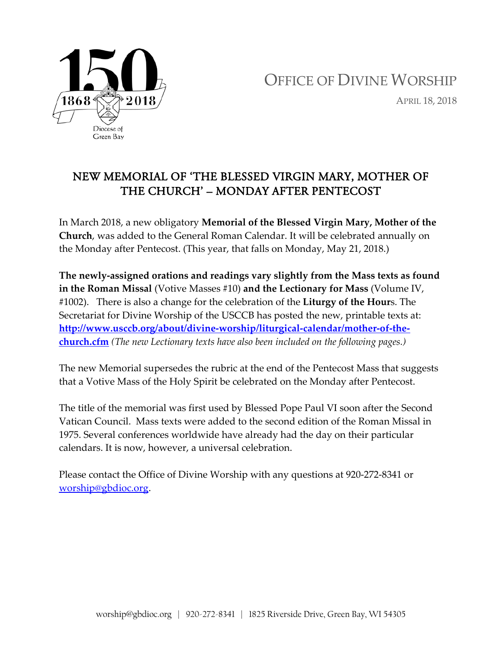

OFFICE OF DIVINE WORSHIP APRIL 18, 2018

# NEW MEMORIAL OF 'THE BLESSED VIRGIN MARY, MOTHER OF THE CHURCH' – MONDAY AFTER PENTECOST

In March 2018, a new obligatory **Memorial of the Blessed Virgin Mary, Mother of the Church**, was added to the General Roman Calendar. It will be celebrated annually on the Monday after Pentecost. (This year, that falls on Monday, May 21, 2018.)

**The newly-assigned orations and readings vary slightly from the Mass texts as found in the Roman Missal** (Votive Masses #10) **and the Lectionary for Mass** (Volume IV, #1002). There is also a change for the celebration of the **Liturgy of the Hour**s. The Secretariat for Divine Worship of the USCCB has posted the new, printable texts at: **[http://www.usccb.org/about/divine-worship/liturgical-calendar/mother-of-the](http://www.usccb.org/about/divine-worship/liturgical-calendar/mother-of-the-church.cfm)[church.cfm](http://www.usccb.org/about/divine-worship/liturgical-calendar/mother-of-the-church.cfm)** *(The new Lectionary texts have also been included on the following pages.)*

The new Memorial supersedes the rubric at the end of the Pentecost Mass that suggests that a Votive Mass of the Holy Spirit be celebrated on the Monday after Pentecost.

The title of the memorial was first used by Blessed Pope Paul VI soon after the Second Vatican Council. Mass texts were added to the second edition of the Roman Missal in 1975. Several conferences worldwide have already had the day on their particular calendars. It is now, however, a universal celebration.

Please contact the Office of Divine Worship with any questions at 920-272-8341 or [worship@gbdioc.org.](mailto:worship@gbdioc.org)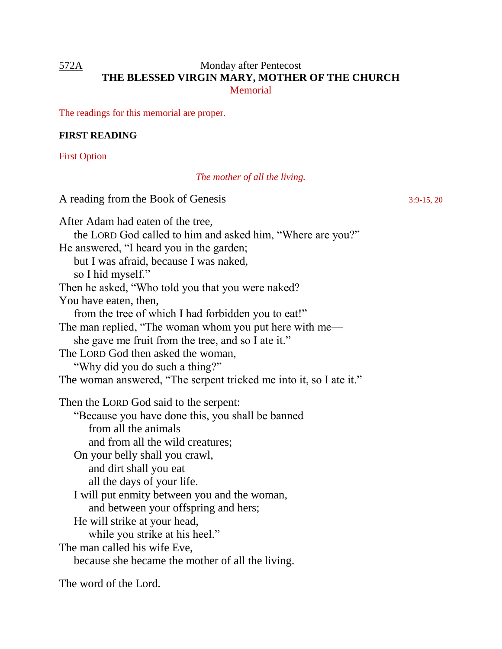## 572A Monday after Pentecost **THE BLESSED VIRGIN MARY, MOTHER OF THE CHURCH** Memorial

The readings for this memorial are proper.

## **FIRST READING**

First Option

| The mother of all the living.                                                                                |             |
|--------------------------------------------------------------------------------------------------------------|-------------|
| A reading from the Book of Genesis                                                                           | $3:9-15,20$ |
| After Adam had eaten of the tree,<br>the LORD God called to him and asked him, "Where are you?"              |             |
| He answered, "I heard you in the garden;<br>but I was afraid, because I was naked,<br>so I hid myself."      |             |
| Then he asked, "Who told you that you were naked?                                                            |             |
| You have eaten, then,<br>from the tree of which I had forbidden you to eat!"                                 |             |
| The man replied, "The woman whom you put here with me—<br>she gave me fruit from the tree, and so I ate it." |             |
| The LORD God then asked the woman,<br>"Why did you do such a thing?"                                         |             |
| The woman answered, "The serpent tricked me into it, so I ate it."                                           |             |
| Then the LORD God said to the serpent:                                                                       |             |
| "Because you have done this, you shall be banned<br>from all the animals                                     |             |
| and from all the wild creatures;                                                                             |             |
| On your belly shall you crawl,                                                                               |             |
| and dirt shall you eat                                                                                       |             |
| all the days of your life.                                                                                   |             |
| I will put enmity between you and the woman,<br>and between your offspring and hers;                         |             |
| He will strike at your head,<br>while you strike at his heel."                                               |             |
| The man called his wife Eve,                                                                                 |             |
| because she became the mother of all the living.                                                             |             |
| The word of the Lord.                                                                                        |             |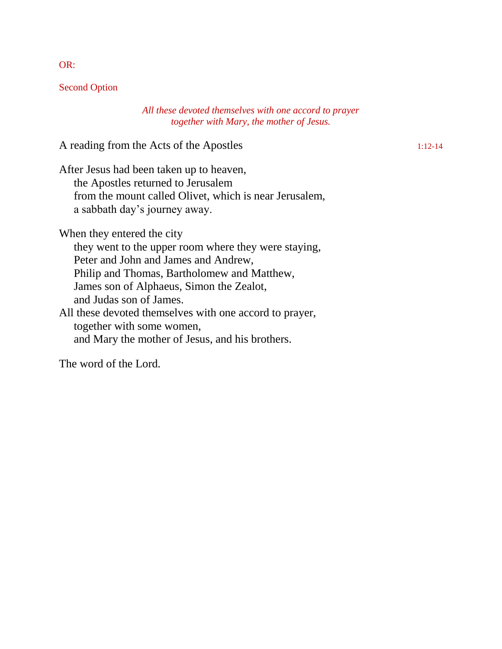Second Option

### *All these devoted themselves with one accord to prayer together with Mary, the mother of Jesus.*

A reading from the Acts of the Apostles 1:12-14

After Jesus had been taken up to heaven, the Apostles returned to Jerusalem from the mount called Olivet, which is near Jerusalem, a sabbath day's journey away.

When they entered the city

they went to the upper room where they were staying, Peter and John and James and Andrew, Philip and Thomas, Bartholomew and Matthew, James son of Alphaeus, Simon the Zealot, and Judas son of James. All these devoted themselves with one accord to prayer, together with some women, and Mary the mother of Jesus, and his brothers.

The word of the Lord.

OR: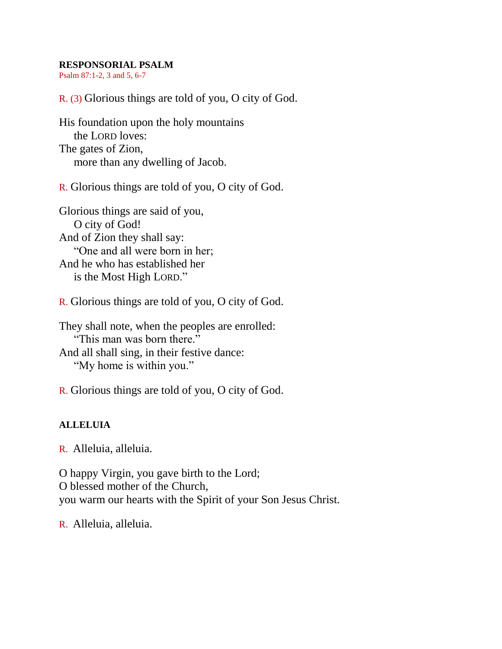### **RESPONSORIAL PSALM**

Psalm 87:1-2, 3 and 5, 6-7

R. (3) Glorious things are told of you, O city of God.

His foundation upon the holy mountains the LORD loves: The gates of Zion, more than any dwelling of Jacob.

R. Glorious things are told of you, O city of God.

Glorious things are said of you, O city of God! And of Zion they shall say: "One and all were born in her; And he who has established her is the Most High LORD."

R. Glorious things are told of you, O city of God.

They shall note, when the peoples are enrolled: "This man was born there." And all shall sing, in their festive dance: "My home is within you."

R. Glorious things are told of you, O city of God.

## **ALLELUIA**

R. Alleluia, alleluia.

O happy Virgin, you gave birth to the Lord; O blessed mother of the Church, you warm our hearts with the Spirit of your Son Jesus Christ.

R. Alleluia, alleluia.